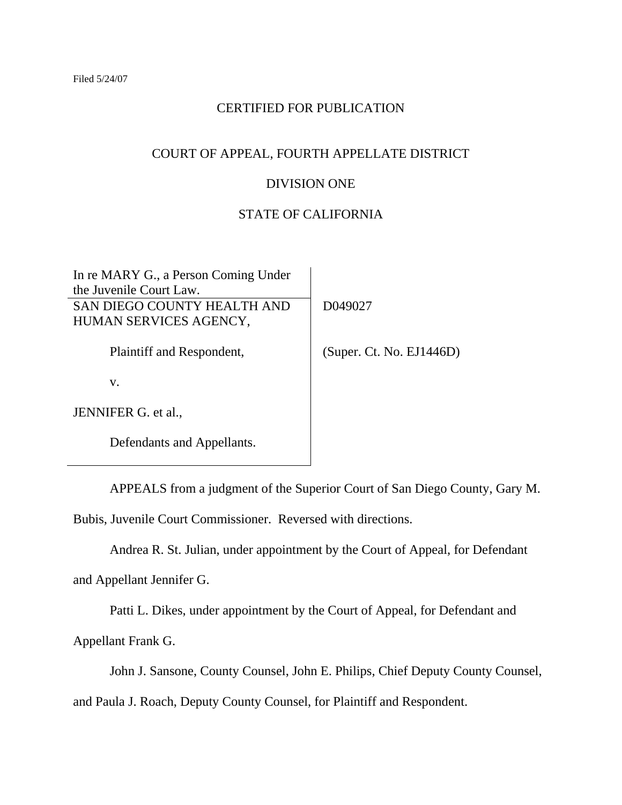# CERTIFIED FOR PUBLICATION

# COURT OF APPEAL, FOURTH APPELLATE DISTRICT

## DIVISION ONE

# STATE OF CALIFORNIA

| In re MARY G., a Person Coming Under |                          |
|--------------------------------------|--------------------------|
| the Juvenile Court Law.              |                          |
| SAN DIEGO COUNTY HEALTH AND          | D049027                  |
| HUMAN SERVICES AGENCY,               |                          |
|                                      |                          |
| Plaintiff and Respondent,            | (Super. Ct. No. EJ1446D) |
|                                      |                          |
| V.                                   |                          |
|                                      |                          |
| JENNIFER G. et al.,                  |                          |
|                                      |                          |
| Defendants and Appellants.           |                          |

APPEALS from a judgment of the Superior Court of San Diego County, Gary M.

Bubis, Juvenile Court Commissioner. Reversed with directions.

Andrea R. St. Julian, under appointment by the Court of Appeal, for Defendant

and Appellant Jennifer G.

Patti L. Dikes, under appointment by the Court of Appeal, for Defendant and

Appellant Frank G.

John J. Sansone, County Counsel, John E. Philips, Chief Deputy County Counsel,

and Paula J. Roach, Deputy County Counsel, for Plaintiff and Respondent.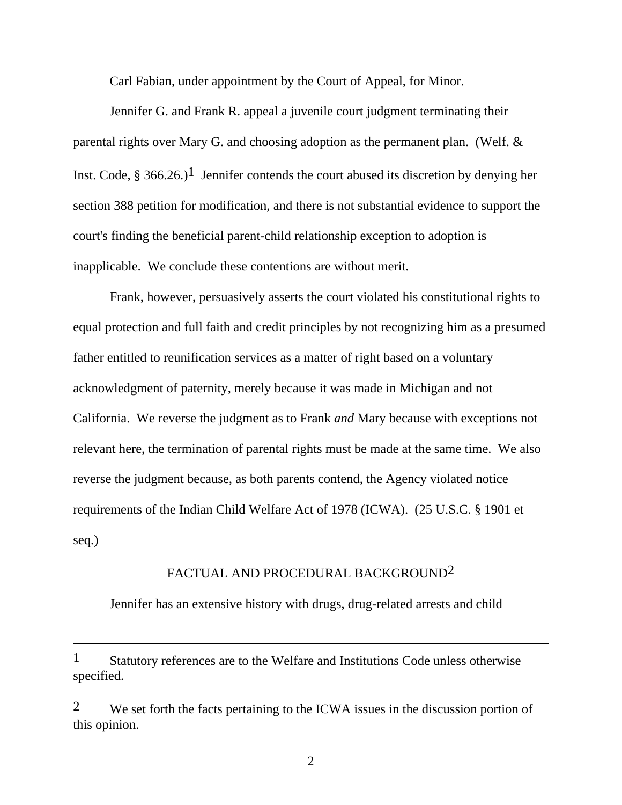Carl Fabian, under appointment by the Court of Appeal, for Minor.

 Jennifer G. and Frank R. appeal a juvenile court judgment terminating their parental rights over Mary G. and choosing adoption as the permanent plan. (Welf. & Inst. Code,  $\S 366.26.$ )<sup>1</sup> Jennifer contends the court abused its discretion by denying her section 388 petition for modification, and there is not substantial evidence to support the court's finding the beneficial parent-child relationship exception to adoption is inapplicable. We conclude these contentions are without merit.

 Frank, however, persuasively asserts the court violated his constitutional rights to equal protection and full faith and credit principles by not recognizing him as a presumed father entitled to reunification services as a matter of right based on a voluntary acknowledgment of paternity, merely because it was made in Michigan and not California. We reverse the judgment as to Frank *and* Mary because with exceptions not relevant here, the termination of parental rights must be made at the same time. We also reverse the judgment because, as both parents contend, the Agency violated notice requirements of the Indian Child Welfare Act of 1978 (ICWA). (25 U.S.C. § 1901 et seq.)

## FACTUAL AND PROCEDURAL BACKGROUND2

Jennifer has an extensive history with drugs, drug-related arrests and child

1 Statutory references are to the Welfare and Institutions Code unless otherwise specified.

 $\overline{a}$ 

<sup>2</sup> We set forth the facts pertaining to the ICWA issues in the discussion portion of this opinion.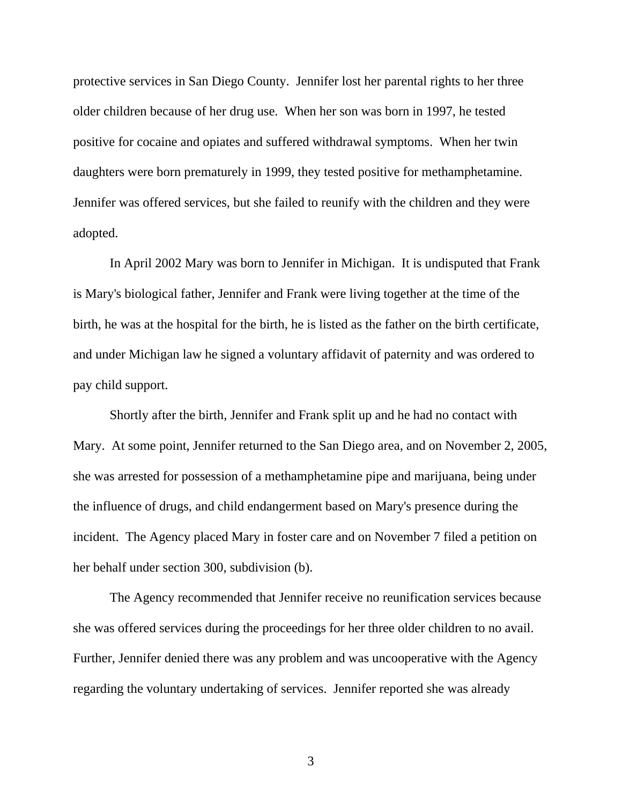protective services in San Diego County. Jennifer lost her parental rights to her three older children because of her drug use. When her son was born in 1997, he tested positive for cocaine and opiates and suffered withdrawal symptoms. When her twin daughters were born prematurely in 1999, they tested positive for methamphetamine. Jennifer was offered services, but she failed to reunify with the children and they were adopted.

 In April 2002 Mary was born to Jennifer in Michigan. It is undisputed that Frank is Mary's biological father, Jennifer and Frank were living together at the time of the birth, he was at the hospital for the birth, he is listed as the father on the birth certificate, and under Michigan law he signed a voluntary affidavit of paternity and was ordered to pay child support.

 Shortly after the birth, Jennifer and Frank split up and he had no contact with Mary. At some point, Jennifer returned to the San Diego area, and on November 2, 2005, she was arrested for possession of a methamphetamine pipe and marijuana, being under the influence of drugs, and child endangerment based on Mary's presence during the incident. The Agency placed Mary in foster care and on November 7 filed a petition on her behalf under section 300, subdivision (b).

 The Agency recommended that Jennifer receive no reunification services because she was offered services during the proceedings for her three older children to no avail. Further, Jennifer denied there was any problem and was uncooperative with the Agency regarding the voluntary undertaking of services. Jennifer reported she was already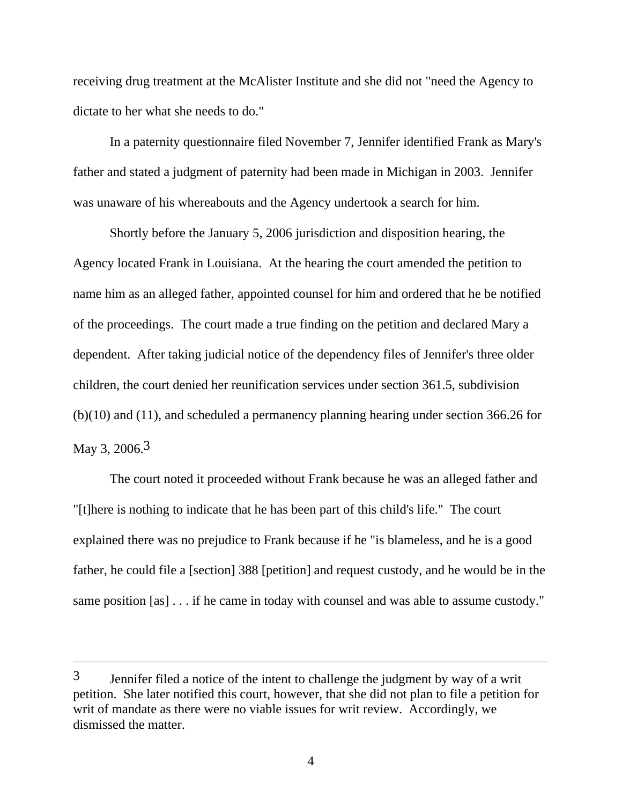receiving drug treatment at the McAlister Institute and she did not "need the Agency to dictate to her what she needs to do."

 In a paternity questionnaire filed November 7, Jennifer identified Frank as Mary's father and stated a judgment of paternity had been made in Michigan in 2003. Jennifer was unaware of his whereabouts and the Agency undertook a search for him.

 Shortly before the January 5, 2006 jurisdiction and disposition hearing, the Agency located Frank in Louisiana. At the hearing the court amended the petition to name him as an alleged father, appointed counsel for him and ordered that he be notified of the proceedings. The court made a true finding on the petition and declared Mary a dependent. After taking judicial notice of the dependency files of Jennifer's three older children, the court denied her reunification services under section 361.5, subdivision (b)(10) and (11), and scheduled a permanency planning hearing under section 366.26 for May 3, 2006.<sup>3</sup>

 The court noted it proceeded without Frank because he was an alleged father and "[t]here is nothing to indicate that he has been part of this child's life." The court explained there was no prejudice to Frank because if he "is blameless, and he is a good father, he could file a [section] 388 [petition] and request custody, and he would be in the same position [as] . . . if he came in today with counsel and was able to assume custody."

 $\overline{a}$ 

<sup>3</sup> Jennifer filed a notice of the intent to challenge the judgment by way of a writ petition. She later notified this court, however, that she did not plan to file a petition for writ of mandate as there were no viable issues for writ review. Accordingly, we dismissed the matter.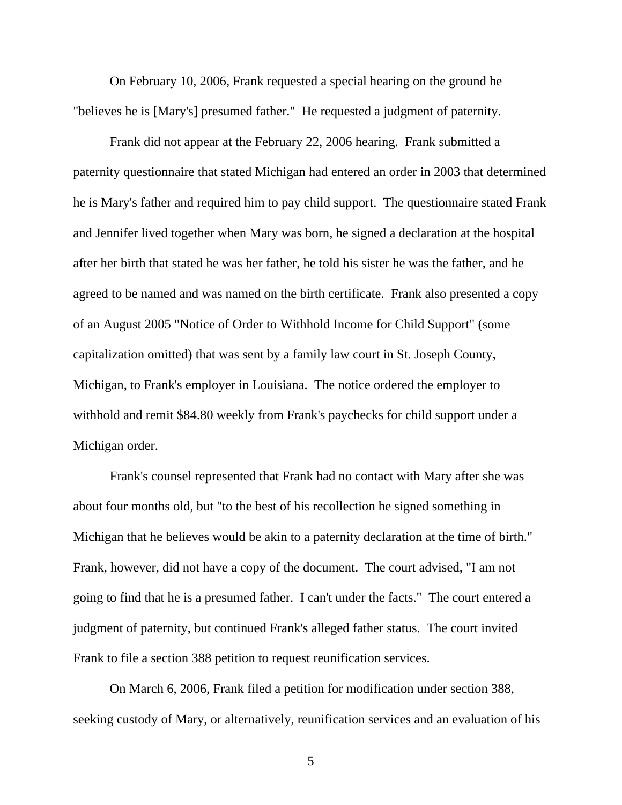On February 10, 2006, Frank requested a special hearing on the ground he "believes he is [Mary's] presumed father." He requested a judgment of paternity.

 Frank did not appear at the February 22, 2006 hearing. Frank submitted a paternity questionnaire that stated Michigan had entered an order in 2003 that determined he is Mary's father and required him to pay child support. The questionnaire stated Frank and Jennifer lived together when Mary was born, he signed a declaration at the hospital after her birth that stated he was her father, he told his sister he was the father, and he agreed to be named and was named on the birth certificate. Frank also presented a copy of an August 2005 "Notice of Order to Withhold Income for Child Support" (some capitalization omitted) that was sent by a family law court in St. Joseph County, Michigan, to Frank's employer in Louisiana. The notice ordered the employer to withhold and remit \$84.80 weekly from Frank's paychecks for child support under a Michigan order.

 Frank's counsel represented that Frank had no contact with Mary after she was about four months old, but "to the best of his recollection he signed something in Michigan that he believes would be akin to a paternity declaration at the time of birth." Frank, however, did not have a copy of the document. The court advised, "I am not going to find that he is a presumed father. I can't under the facts." The court entered a judgment of paternity, but continued Frank's alleged father status. The court invited Frank to file a section 388 petition to request reunification services.

 On March 6, 2006, Frank filed a petition for modification under section 388, seeking custody of Mary, or alternatively, reunification services and an evaluation of his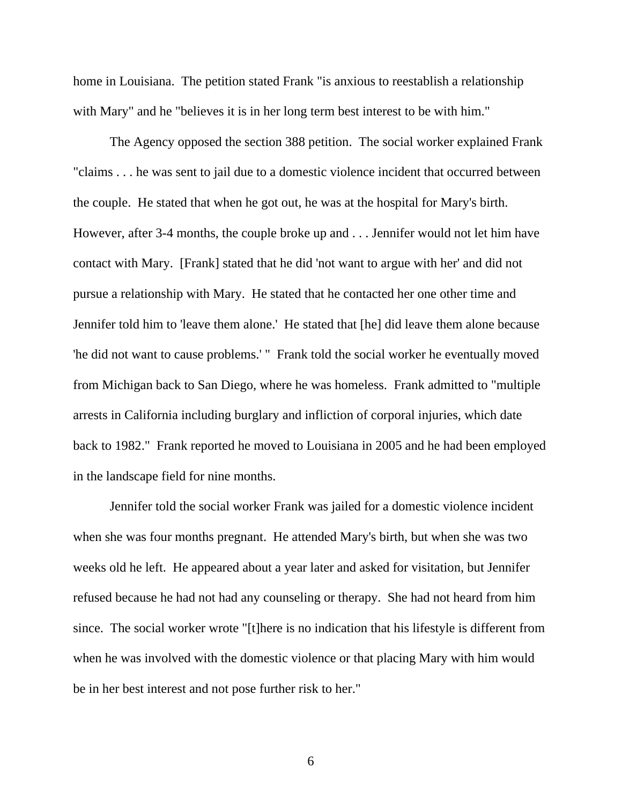home in Louisiana. The petition stated Frank "is anxious to reestablish a relationship with Mary" and he "believes it is in her long term best interest to be with him."

 The Agency opposed the section 388 petition. The social worker explained Frank "claims . . . he was sent to jail due to a domestic violence incident that occurred between the couple. He stated that when he got out, he was at the hospital for Mary's birth. However, after 3-4 months, the couple broke up and . . . Jennifer would not let him have contact with Mary. [Frank] stated that he did 'not want to argue with her' and did not pursue a relationship with Mary. He stated that he contacted her one other time and Jennifer told him to 'leave them alone.' He stated that [he] did leave them alone because 'he did not want to cause problems.' " Frank told the social worker he eventually moved from Michigan back to San Diego, where he was homeless. Frank admitted to "multiple arrests in California including burglary and infliction of corporal injuries, which date back to 1982." Frank reported he moved to Louisiana in 2005 and he had been employed in the landscape field for nine months.

 Jennifer told the social worker Frank was jailed for a domestic violence incident when she was four months pregnant. He attended Mary's birth, but when she was two weeks old he left. He appeared about a year later and asked for visitation, but Jennifer refused because he had not had any counseling or therapy. She had not heard from him since. The social worker wrote "[t]here is no indication that his lifestyle is different from when he was involved with the domestic violence or that placing Mary with him would be in her best interest and not pose further risk to her."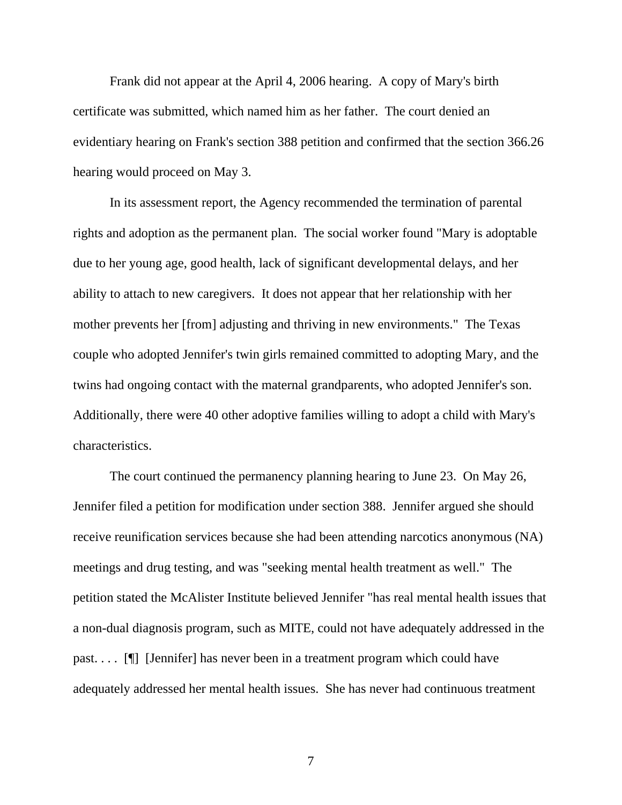Frank did not appear at the April 4, 2006 hearing. A copy of Mary's birth certificate was submitted, which named him as her father. The court denied an evidentiary hearing on Frank's section 388 petition and confirmed that the section 366.26 hearing would proceed on May 3.

 In its assessment report, the Agency recommended the termination of parental rights and adoption as the permanent plan. The social worker found "Mary is adoptable due to her young age, good health, lack of significant developmental delays, and her ability to attach to new caregivers. It does not appear that her relationship with her mother prevents her [from] adjusting and thriving in new environments." The Texas couple who adopted Jennifer's twin girls remained committed to adopting Mary, and the twins had ongoing contact with the maternal grandparents, who adopted Jennifer's son. Additionally, there were 40 other adoptive families willing to adopt a child with Mary's characteristics.

 The court continued the permanency planning hearing to June 23. On May 26, Jennifer filed a petition for modification under section 388. Jennifer argued she should receive reunification services because she had been attending narcotics anonymous (NA) meetings and drug testing, and was "seeking mental health treatment as well." The petition stated the McAlister Institute believed Jennifer "has real mental health issues that a non-dual diagnosis program, such as MITE, could not have adequately addressed in the past. . . . [¶] [Jennifer] has never been in a treatment program which could have adequately addressed her mental health issues. She has never had continuous treatment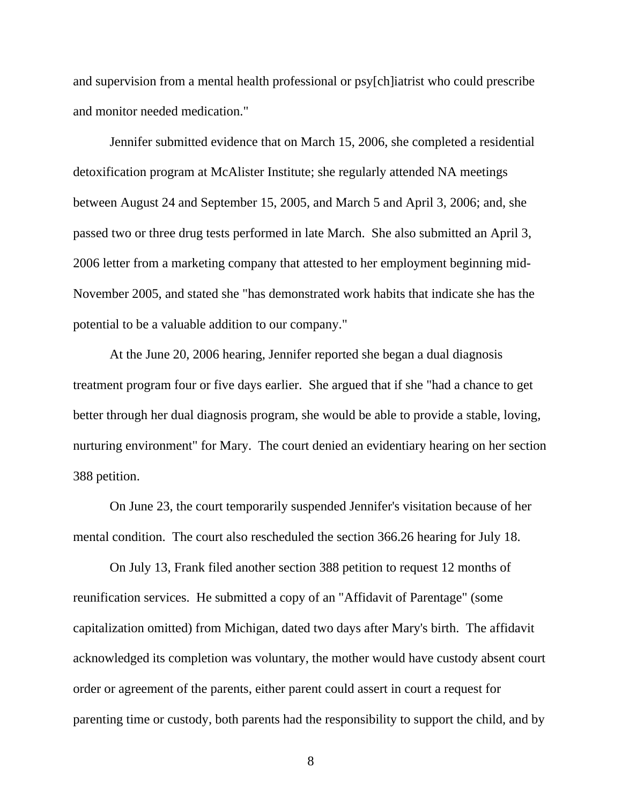and supervision from a mental health professional or psy[ch]iatrist who could prescribe and monitor needed medication."

 Jennifer submitted evidence that on March 15, 2006, she completed a residential detoxification program at McAlister Institute; she regularly attended NA meetings between August 24 and September 15, 2005, and March 5 and April 3, 2006; and, she passed two or three drug tests performed in late March. She also submitted an April 3, 2006 letter from a marketing company that attested to her employment beginning mid-November 2005, and stated she "has demonstrated work habits that indicate she has the potential to be a valuable addition to our company."

 At the June 20, 2006 hearing, Jennifer reported she began a dual diagnosis treatment program four or five days earlier. She argued that if she "had a chance to get better through her dual diagnosis program, she would be able to provide a stable, loving, nurturing environment" for Mary. The court denied an evidentiary hearing on her section 388 petition.

 On June 23, the court temporarily suspended Jennifer's visitation because of her mental condition. The court also rescheduled the section 366.26 hearing for July 18.

 On July 13, Frank filed another section 388 petition to request 12 months of reunification services. He submitted a copy of an "Affidavit of Parentage" (some capitalization omitted) from Michigan, dated two days after Mary's birth. The affidavit acknowledged its completion was voluntary, the mother would have custody absent court order or agreement of the parents, either parent could assert in court a request for parenting time or custody, both parents had the responsibility to support the child, and by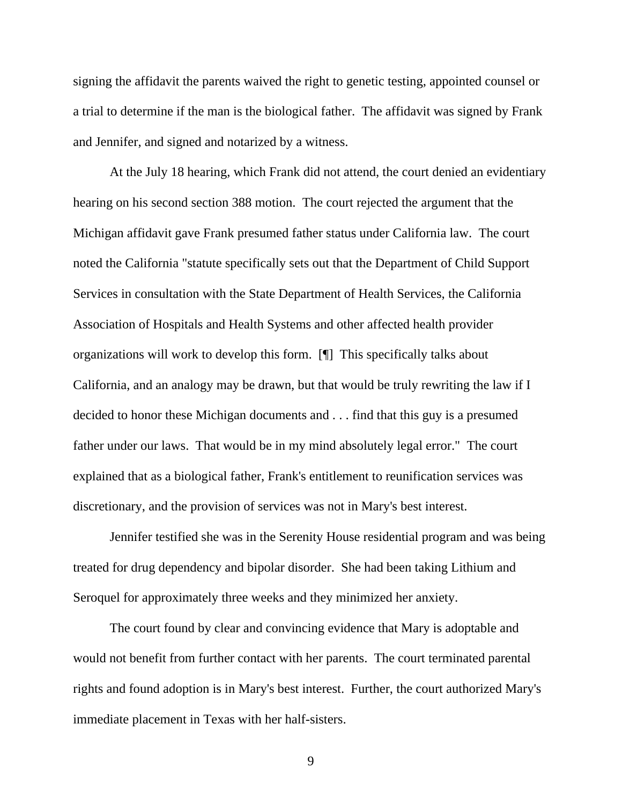signing the affidavit the parents waived the right to genetic testing, appointed counsel or a trial to determine if the man is the biological father. The affidavit was signed by Frank and Jennifer, and signed and notarized by a witness.

 At the July 18 hearing, which Frank did not attend, the court denied an evidentiary hearing on his second section 388 motion. The court rejected the argument that the Michigan affidavit gave Frank presumed father status under California law. The court noted the California "statute specifically sets out that the Department of Child Support Services in consultation with the State Department of Health Services, the California Association of Hospitals and Health Systems and other affected health provider organizations will work to develop this form. [¶] This specifically talks about California, and an analogy may be drawn, but that would be truly rewriting the law if I decided to honor these Michigan documents and . . . find that this guy is a presumed father under our laws. That would be in my mind absolutely legal error." The court explained that as a biological father, Frank's entitlement to reunification services was discretionary, and the provision of services was not in Mary's best interest.

 Jennifer testified she was in the Serenity House residential program and was being treated for drug dependency and bipolar disorder. She had been taking Lithium and Seroquel for approximately three weeks and they minimized her anxiety.

 The court found by clear and convincing evidence that Mary is adoptable and would not benefit from further contact with her parents. The court terminated parental rights and found adoption is in Mary's best interest. Further, the court authorized Mary's immediate placement in Texas with her half-sisters.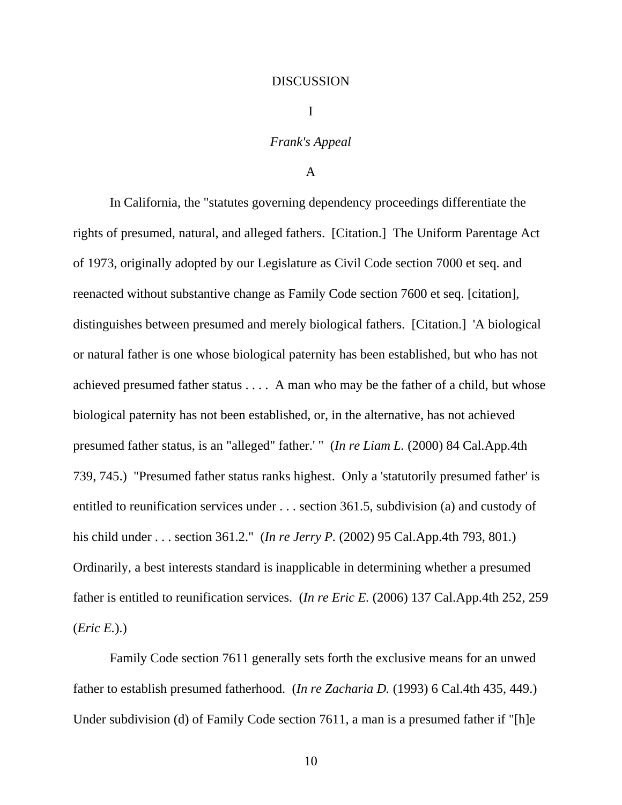#### DISCUSSION

I

### *Frank's Appeal*

## A

In California, the "statutes governing dependency proceedings differentiate the rights of presumed, natural, and alleged fathers. [Citation.] The Uniform Parentage Act of 1973, originally adopted by our Legislature as Civil Code section 7000 et seq. and reenacted without substantive change as Family Code section 7600 et seq. [citation], distinguishes between presumed and merely biological fathers. [Citation.] 'A biological or natural father is one whose biological paternity has been established, but who has not achieved presumed father status . . . . A man who may be the father of a child, but whose biological paternity has not been established, or, in the alternative, has not achieved presumed father status, is an "alleged" father.' " (*In re Liam L.* (2000) 84 Cal.App.4th 739, 745.) "Presumed father status ranks highest. Only a 'statutorily presumed father' is entitled to reunification services under . . . section 361.5, subdivision (a) and custody of his child under . . . section 361.2." (*In re Jerry P.* (2002) 95 Cal.App.4th 793, 801.) Ordinarily, a best interests standard is inapplicable in determining whether a presumed father is entitled to reunification services. (*In re Eric E.* (2006) 137 Cal.App.4th 252, 259 (*Eric E.*).)

 Family Code section 7611 generally sets forth the exclusive means for an unwed father to establish presumed fatherhood. (*In re Zacharia D.* (1993) 6 Cal.4th 435, 449.) Under subdivision (d) of Family Code section 7611, a man is a presumed father if "[h]e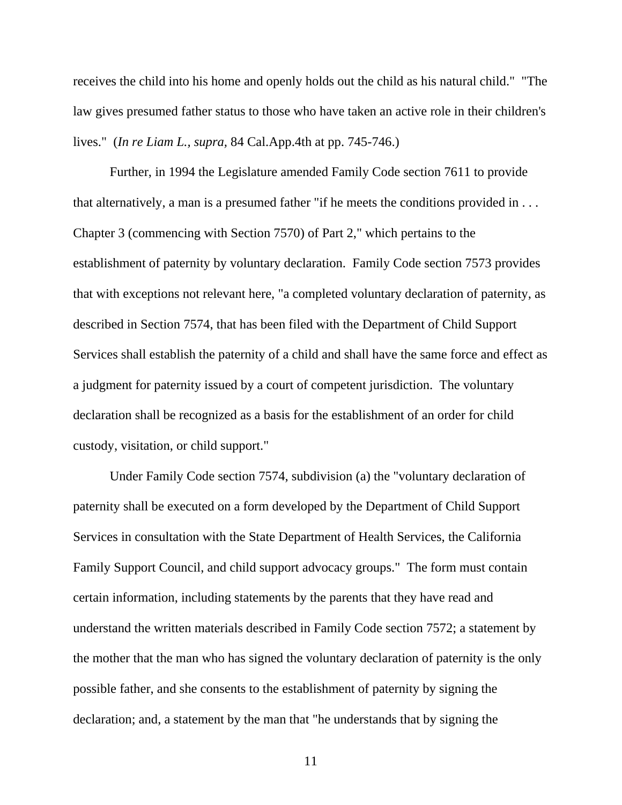receives the child into his home and openly holds out the child as his natural child." "The law gives presumed father status to those who have taken an active role in their children's lives." (*In re Liam L., supra,* 84 Cal.App.4th at pp. 745-746.)

 Further, in 1994 the Legislature amended Family Code section 7611 to provide that alternatively, a man is a presumed father "if he meets the conditions provided in . . . Chapter 3 (commencing with Section 7570) of Part 2," which pertains to the establishment of paternity by voluntary declaration. Family Code section 7573 provides that with exceptions not relevant here, "a completed voluntary declaration of paternity, as described in Section 7574, that has been filed with the Department of Child Support Services shall establish the paternity of a child and shall have the same force and effect as a judgment for paternity issued by a court of competent jurisdiction. The voluntary declaration shall be recognized as a basis for the establishment of an order for child custody, visitation, or child support."

 Under Family Code section 7574, subdivision (a) the "voluntary declaration of paternity shall be executed on a form developed by the Department of Child Support Services in consultation with the State Department of Health Services, the California Family Support Council, and child support advocacy groups." The form must contain certain information, including statements by the parents that they have read and understand the written materials described in Family Code section 7572; a statement by the mother that the man who has signed the voluntary declaration of paternity is the only possible father, and she consents to the establishment of paternity by signing the declaration; and, a statement by the man that "he understands that by signing the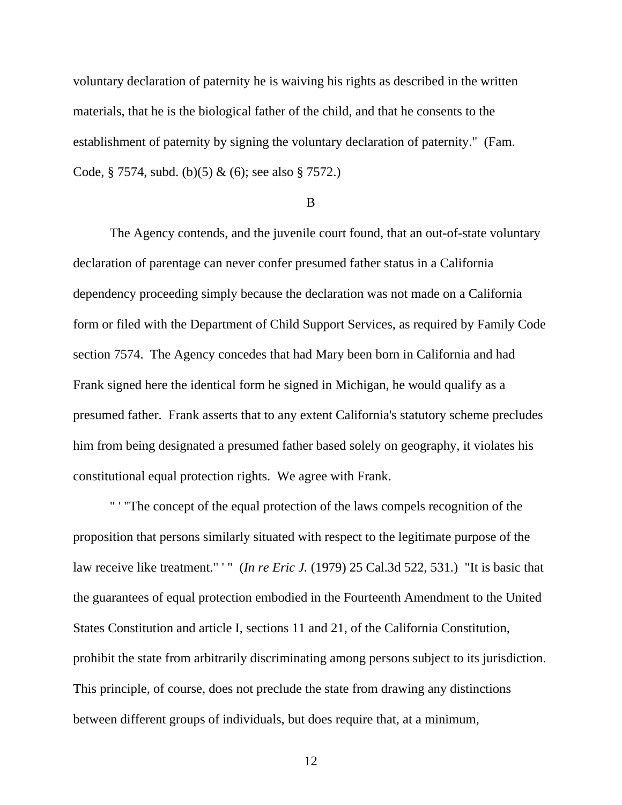voluntary declaration of paternity he is waiving his rights as described in the written materials, that he is the biological father of the child, and that he consents to the establishment of paternity by signing the voluntary declaration of paternity." (Fam. Code, § 7574, subd. (b)(5) & (6); see also § 7572.)

B

 The Agency contends, and the juvenile court found, that an out-of-state voluntary declaration of parentage can never confer presumed father status in a California dependency proceeding simply because the declaration was not made on a California form or filed with the Department of Child Support Services, as required by Family Code section 7574. The Agency concedes that had Mary been born in California and had Frank signed here the identical form he signed in Michigan, he would qualify as a presumed father. Frank asserts that to any extent California's statutory scheme precludes him from being designated a presumed father based solely on geography, it violates his constitutional equal protection rights. We agree with Frank.

 " ' "The concept of the equal protection of the laws compels recognition of the proposition that persons similarly situated with respect to the legitimate purpose of the law receive like treatment." " (*In re Eric J.* (1979) 25 Cal.3d 522, 531.) "It is basic that the guarantees of equal protection embodied in the Fourteenth Amendment to the United States Constitution and article I, sections 11 and 21, of the California Constitution, prohibit the state from arbitrarily discriminating among persons subject to its jurisdiction. This principle, of course, does not preclude the state from drawing any distinctions between different groups of individuals, but does require that, at a minimum,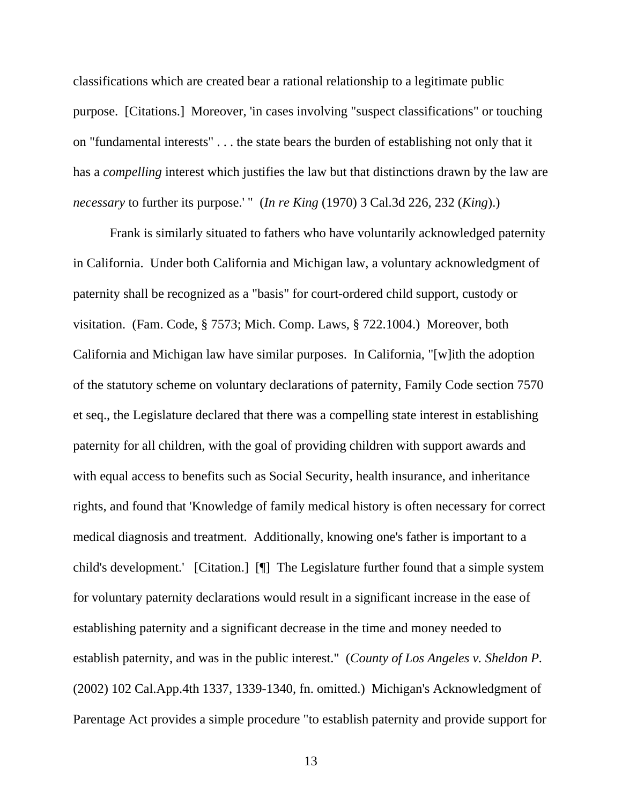classifications which are created bear a rational relationship to a legitimate public purpose. [Citations.] Moreover, 'in cases involving "suspect classifications" or touching on "fundamental interests" . . . the state bears the burden of establishing not only that it has a *compelling* interest which justifies the law but that distinctions drawn by the law are *necessary* to further its purpose.' " (*In re King* (1970) 3 Cal.3d 226, 232 (*King*).)

 Frank is similarly situated to fathers who have voluntarily acknowledged paternity in California. Under both California and Michigan law, a voluntary acknowledgment of paternity shall be recognized as a "basis" for court-ordered child support, custody or visitation. (Fam. Code, § 7573; Mich. Comp. Laws, § 722.1004.) Moreover, both California and Michigan law have similar purposes. In California, "[w]ith the adoption of the statutory scheme on voluntary declarations of paternity, Family Code section 7570 et seq., the Legislature declared that there was a compelling state interest in establishing paternity for all children, with the goal of providing children with support awards and with equal access to benefits such as Social Security, health insurance, and inheritance rights, and found that 'Knowledge of family medical history is often necessary for correct medical diagnosis and treatment. Additionally, knowing one's father is important to a child's development.' [Citation.] [¶] The Legislature further found that a simple system for voluntary paternity declarations would result in a significant increase in the ease of establishing paternity and a significant decrease in the time and money needed to establish paternity, and was in the public interest." (*County of Los Angeles v. Sheldon P.*  (2002) 102 Cal.App.4th 1337, 1339-1340, fn. omitted.) Michigan's Acknowledgment of Parentage Act provides a simple procedure "to establish paternity and provide support for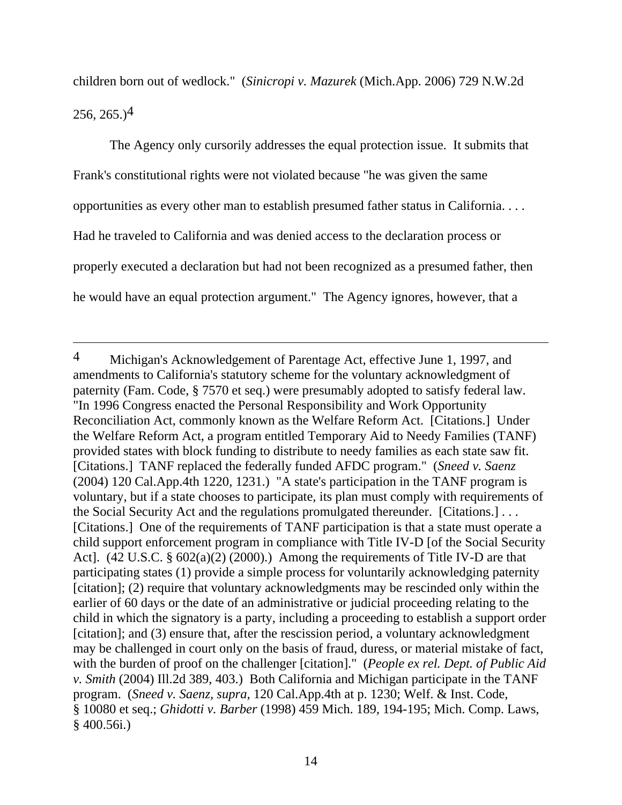children born out of wedlock." (*Sinicropi v. Mazurek* (Mich.App. 2006) 729 N.W.2d  $256, 265.$ <sup>4</sup>

 The Agency only cursorily addresses the equal protection issue. It submits that Frank's constitutional rights were not violated because "he was given the same opportunities as every other man to establish presumed father status in California. . . . Had he traveled to California and was denied access to the declaration process or properly executed a declaration but had not been recognized as a presumed father, then he would have an equal protection argument." The Agency ignores, however, that a

<sup>4</sup> Michigan's Acknowledgement of Parentage Act, effective June 1, 1997, and amendments to California's statutory scheme for the voluntary acknowledgment of paternity (Fam. Code, § 7570 et seq.) were presumably adopted to satisfy federal law. "In 1996 Congress enacted the Personal Responsibility and Work Opportunity Reconciliation Act, commonly known as the Welfare Reform Act. [Citations.] Under the Welfare Reform Act, a program entitled Temporary Aid to Needy Families (TANF) provided states with block funding to distribute to needy families as each state saw fit. [Citations.] TANF replaced the federally funded AFDC program." (*Sneed v. Saenz*  (2004) 120 Cal.App.4th 1220, 1231.) "A state's participation in the TANF program is voluntary, but if a state chooses to participate, its plan must comply with requirements of the Social Security Act and the regulations promulgated thereunder. [Citations.] . . . [Citations.] One of the requirements of TANF participation is that a state must operate a child support enforcement program in compliance with Title IV-D [of the Social Security Act]. (42 U.S.C. § 602(a)(2) (2000).) Among the requirements of Title IV-D are that participating states (1) provide a simple process for voluntarily acknowledging paternity [citation]; (2) require that voluntary acknowledgments may be rescinded only within the earlier of 60 days or the date of an administrative or judicial proceeding relating to the child in which the signatory is a party, including a proceeding to establish a support order [citation]; and (3) ensure that, after the rescission period, a voluntary acknowledgment may be challenged in court only on the basis of fraud, duress, or material mistake of fact, with the burden of proof on the challenger [citation]." (*People ex rel. Dept. of Public Aid v. Smith* (2004) Ill.2d 389, 403.) Both California and Michigan participate in the TANF program. (*Sneed v. Saenz, supra,* 120 Cal.App.4th at p. 1230; Welf. & Inst. Code, § 10080 et seq.; *Ghidotti v. Barber* (1998) 459 Mich. 189, 194-195; Mich. Comp. Laws, § 400.56i.)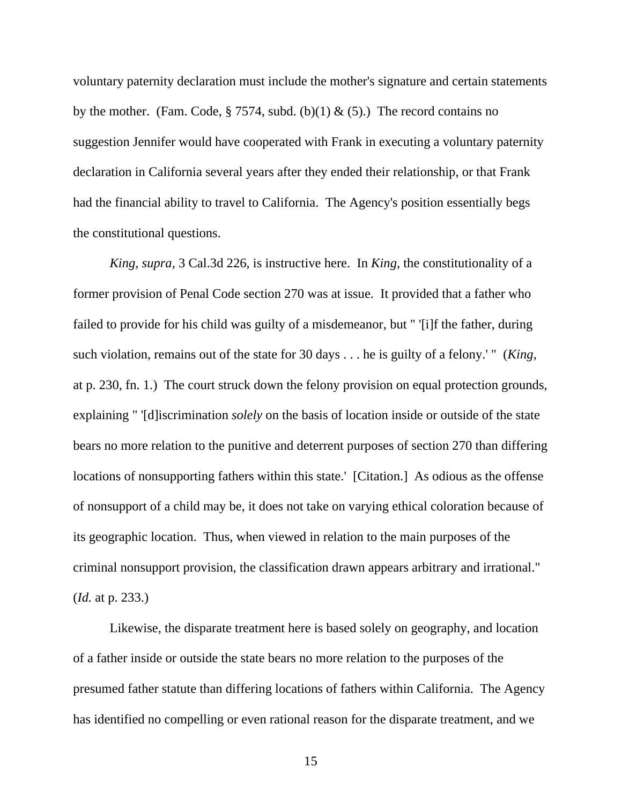voluntary paternity declaration must include the mother's signature and certain statements by the mother. (Fam. Code, § 7574, subd. (b)(1) & (5).) The record contains no suggestion Jennifer would have cooperated with Frank in executing a voluntary paternity declaration in California several years after they ended their relationship, or that Frank had the financial ability to travel to California. The Agency's position essentially begs the constitutional questions.

*King, supra,* 3 Cal.3d 226, is instructive here. In *King,* the constitutionality of a former provision of Penal Code section 270 was at issue. It provided that a father who failed to provide for his child was guilty of a misdemeanor, but " '[i]f the father, during such violation, remains out of the state for 30 days . . . he is guilty of a felony.' " (*King*, at p. 230, fn. 1.) The court struck down the felony provision on equal protection grounds, explaining " '[d]iscrimination *solely* on the basis of location inside or outside of the state bears no more relation to the punitive and deterrent purposes of section 270 than differing locations of nonsupporting fathers within this state.' [Citation.] As odious as the offense of nonsupport of a child may be, it does not take on varying ethical coloration because of its geographic location. Thus, when viewed in relation to the main purposes of the criminal nonsupport provision, the classification drawn appears arbitrary and irrational." (*Id.* at p. 233.)

 Likewise, the disparate treatment here is based solely on geography, and location of a father inside or outside the state bears no more relation to the purposes of the presumed father statute than differing locations of fathers within California. The Agency has identified no compelling or even rational reason for the disparate treatment, and we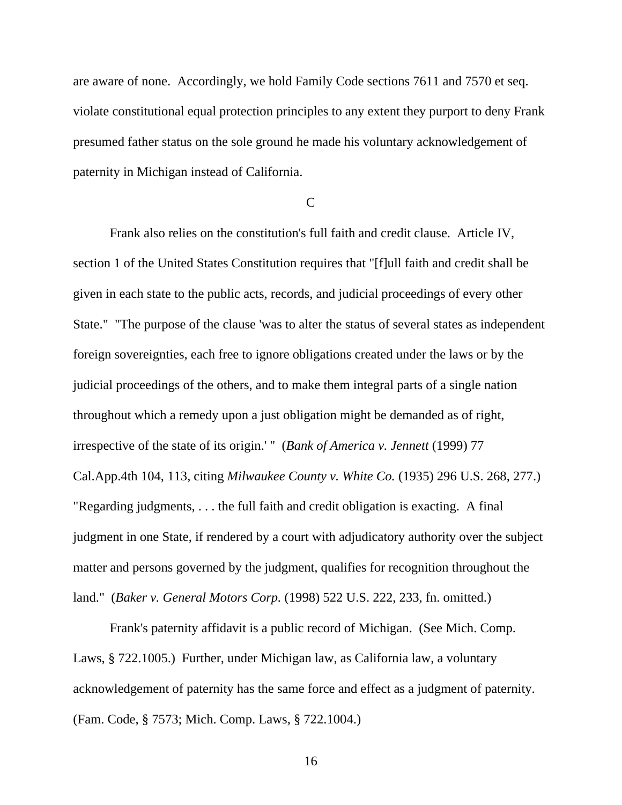are aware of none. Accordingly, we hold Family Code sections 7611 and 7570 et seq. violate constitutional equal protection principles to any extent they purport to deny Frank presumed father status on the sole ground he made his voluntary acknowledgement of paternity in Michigan instead of California.

## $\overline{C}$

 Frank also relies on the constitution's full faith and credit clause. Article IV, section 1 of the United States Constitution requires that "[f]ull faith and credit shall be given in each state to the public acts, records, and judicial proceedings of every other State." "The purpose of the clause 'was to alter the status of several states as independent foreign sovereignties, each free to ignore obligations created under the laws or by the judicial proceedings of the others, and to make them integral parts of a single nation throughout which a remedy upon a just obligation might be demanded as of right, irrespective of the state of its origin.' " (*Bank of America v. Jennett* (1999) 77 Cal.App.4th 104, 113, citing *Milwaukee County v. White Co.* (1935) 296 U.S. 268, 277.) "Regarding judgments, . . . the full faith and credit obligation is exacting. A final judgment in one State, if rendered by a court with adjudicatory authority over the subject matter and persons governed by the judgment, qualifies for recognition throughout the land." (*Baker v. General Motors Corp.* (1998) 522 U.S. 222, 233, fn. omitted.)

 Frank's paternity affidavit is a public record of Michigan. (See Mich. Comp. Laws, § 722.1005.) Further, under Michigan law, as California law, a voluntary acknowledgement of paternity has the same force and effect as a judgment of paternity. (Fam. Code, § 7573; Mich. Comp. Laws, § 722.1004.)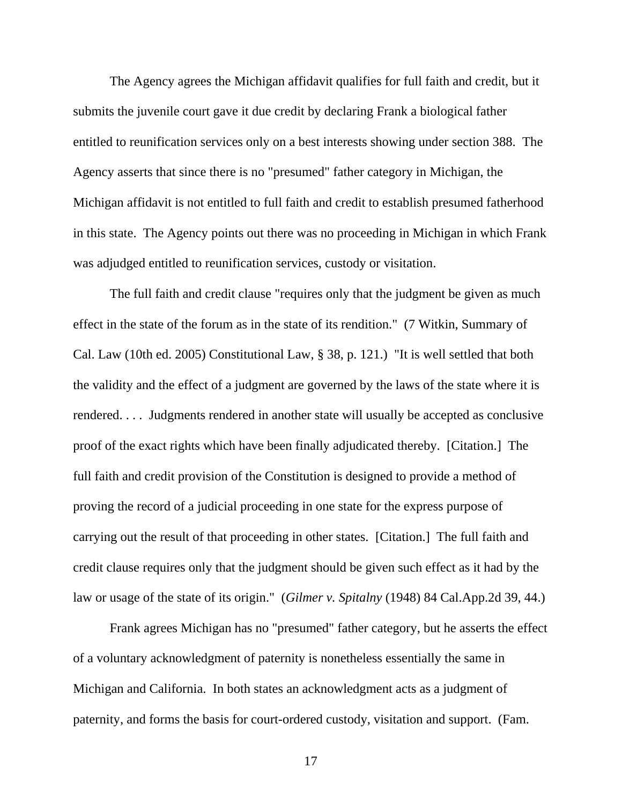The Agency agrees the Michigan affidavit qualifies for full faith and credit, but it submits the juvenile court gave it due credit by declaring Frank a biological father entitled to reunification services only on a best interests showing under section 388. The Agency asserts that since there is no "presumed" father category in Michigan, the Michigan affidavit is not entitled to full faith and credit to establish presumed fatherhood in this state. The Agency points out there was no proceeding in Michigan in which Frank was adjudged entitled to reunification services, custody or visitation.

 The full faith and credit clause "requires only that the judgment be given as much effect in the state of the forum as in the state of its rendition." (7 Witkin, Summary of Cal. Law (10th ed. 2005) Constitutional Law, § 38, p. 121.) "It is well settled that both the validity and the effect of a judgment are governed by the laws of the state where it is rendered. . . . Judgments rendered in another state will usually be accepted as conclusive proof of the exact rights which have been finally adjudicated thereby. [Citation.] The full faith and credit provision of the Constitution is designed to provide a method of proving the record of a judicial proceeding in one state for the express purpose of carrying out the result of that proceeding in other states. [Citation.] The full faith and credit clause requires only that the judgment should be given such effect as it had by the law or usage of the state of its origin." (*Gilmer v. Spitalny* (1948) 84 Cal.App.2d 39, 44.)

 Frank agrees Michigan has no "presumed" father category, but he asserts the effect of a voluntary acknowledgment of paternity is nonetheless essentially the same in Michigan and California. In both states an acknowledgment acts as a judgment of paternity, and forms the basis for court-ordered custody, visitation and support. (Fam.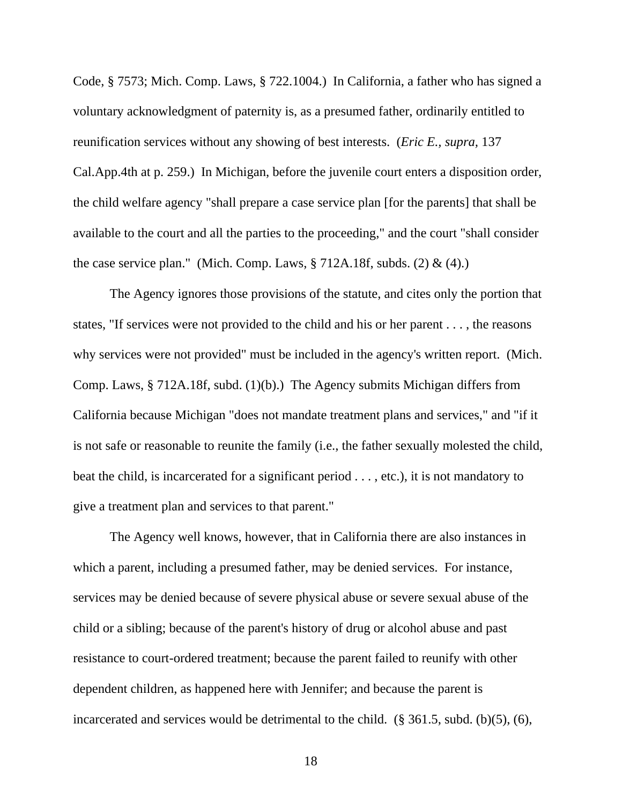Code, § 7573; Mich. Comp. Laws, § 722.1004.) In California, a father who has signed a voluntary acknowledgment of paternity is, as a presumed father, ordinarily entitled to reunification services without any showing of best interests. (*Eric E., supra,* 137 Cal.App.4th at p. 259.) In Michigan, before the juvenile court enters a disposition order, the child welfare agency "shall prepare a case service plan [for the parents] that shall be available to the court and all the parties to the proceeding," and the court "shall consider the case service plan." (Mich. Comp. Laws,  $\S 712A.18f$ , subds. (2) & (4).)

 The Agency ignores those provisions of the statute, and cites only the portion that states, "If services were not provided to the child and his or her parent . . . , the reasons why services were not provided" must be included in the agency's written report. (Mich. Comp. Laws, § 712A.18f, subd. (1)(b).) The Agency submits Michigan differs from California because Michigan "does not mandate treatment plans and services," and "if it is not safe or reasonable to reunite the family (i.e., the father sexually molested the child, beat the child, is incarcerated for a significant period . . . , etc.), it is not mandatory to give a treatment plan and services to that parent."

 The Agency well knows, however, that in California there are also instances in which a parent, including a presumed father, may be denied services. For instance, services may be denied because of severe physical abuse or severe sexual abuse of the child or a sibling; because of the parent's history of drug or alcohol abuse and past resistance to court-ordered treatment; because the parent failed to reunify with other dependent children, as happened here with Jennifer; and because the parent is incarcerated and services would be detrimental to the child. (§ 361.5, subd. (b)(5), (6),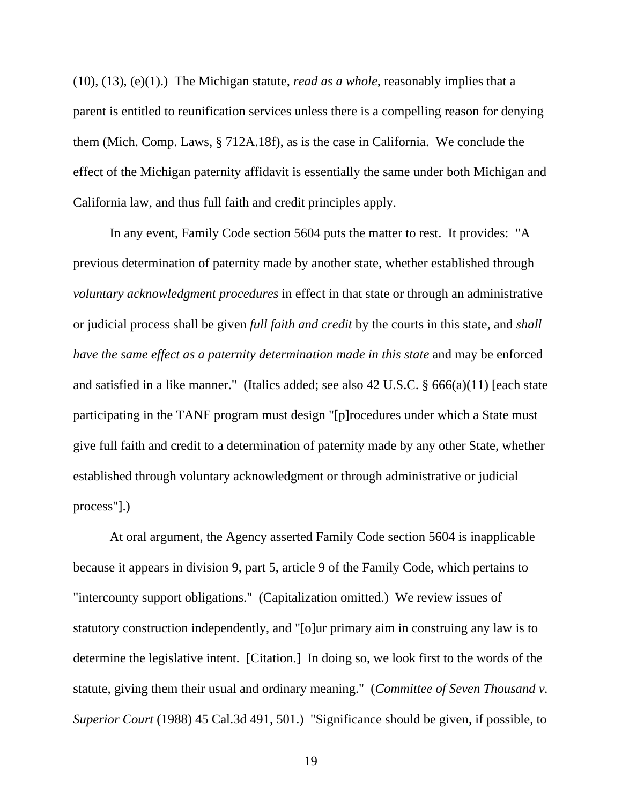(10), (13), (e)(1).) The Michigan statute, *read as a whole*, reasonably implies that a parent is entitled to reunification services unless there is a compelling reason for denying them (Mich. Comp. Laws, § 712A.18f), as is the case in California. We conclude the effect of the Michigan paternity affidavit is essentially the same under both Michigan and California law, and thus full faith and credit principles apply.

 In any event, Family Code section 5604 puts the matter to rest. It provides: "A previous determination of paternity made by another state, whether established through *voluntary acknowledgment procedures* in effect in that state or through an administrative or judicial process shall be given *full faith and credit* by the courts in this state, and *shall have the same effect as a paternity determination made in this state* and may be enforced and satisfied in a like manner." (Italics added; see also 42 U.S.C. § 666(a)(11) [each state participating in the TANF program must design "[p]rocedures under which a State must give full faith and credit to a determination of paternity made by any other State, whether established through voluntary acknowledgment or through administrative or judicial process"].)

 At oral argument, the Agency asserted Family Code section 5604 is inapplicable because it appears in division 9, part 5, article 9 of the Family Code, which pertains to "intercounty support obligations." (Capitalization omitted.) We review issues of statutory construction independently, and "[o]ur primary aim in construing any law is to determine the legislative intent. [Citation.] In doing so, we look first to the words of the statute, giving them their usual and ordinary meaning." (*Committee of Seven Thousand v. Superior Court* (1988) 45 Cal.3d 491, 501.) "Significance should be given, if possible, to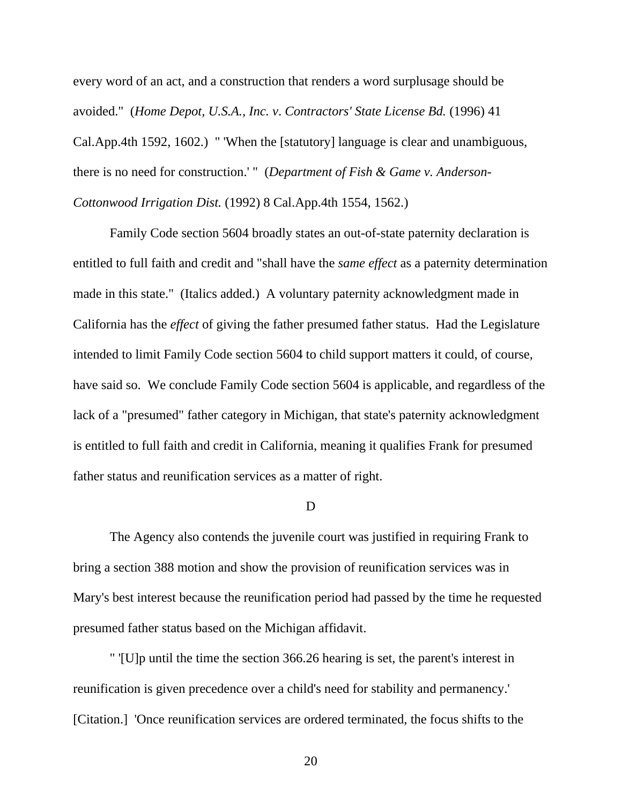every word of an act, and a construction that renders a word surplusage should be avoided." (*Home Depot, U.S.A., Inc. v*. *Contractors' State License Bd.* (1996) 41 Cal.App.4th 1592, 1602.) " 'When the [statutory] language is clear and unambiguous, there is no need for construction.' " (*Department of Fish & Game v. Anderson-Cottonwood Irrigation Dist.* (1992) 8 Cal.App.4th 1554, 1562.)

 Family Code section 5604 broadly states an out-of-state paternity declaration is entitled to full faith and credit and "shall have the *same effect* as a paternity determination made in this state." (Italics added.) A voluntary paternity acknowledgment made in California has the *effect* of giving the father presumed father status. Had the Legislature intended to limit Family Code section 5604 to child support matters it could, of course, have said so. We conclude Family Code section 5604 is applicable, and regardless of the lack of a "presumed" father category in Michigan, that state's paternity acknowledgment is entitled to full faith and credit in California, meaning it qualifies Frank for presumed father status and reunification services as a matter of right.

#### D

 The Agency also contends the juvenile court was justified in requiring Frank to bring a section 388 motion and show the provision of reunification services was in Mary's best interest because the reunification period had passed by the time he requested presumed father status based on the Michigan affidavit.

 " '[U]p until the time the section 366.26 hearing is set, the parent's interest in reunification is given precedence over a child's need for stability and permanency.' [Citation.] 'Once reunification services are ordered terminated, the focus shifts to the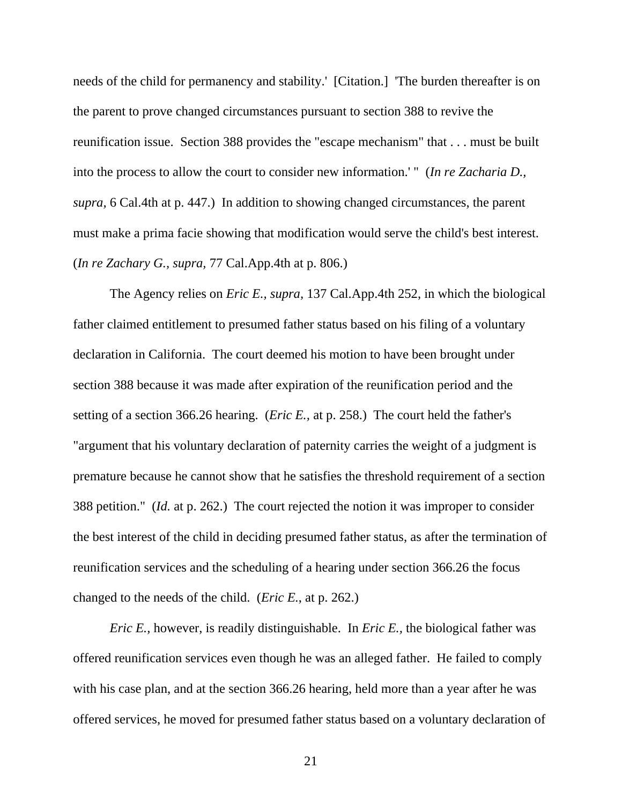needs of the child for permanency and stability.' [Citation.] 'The burden thereafter is on the parent to prove changed circumstances pursuant to section 388 to revive the reunification issue. Section 388 provides the "escape mechanism" that . . . must be built into the process to allow the court to consider new information.' " (*In re Zacharia D., supra,* 6 Cal.4th at p. 447.) In addition to showing changed circumstances, the parent must make a prima facie showing that modification would serve the child's best interest. (*In re Zachary G., supra,* 77 Cal.App.4th at p. 806.)

 The Agency relies on *Eric E., supra,* 137 Cal.App.4th 252, in which the biological father claimed entitlement to presumed father status based on his filing of a voluntary declaration in California. The court deemed his motion to have been brought under section 388 because it was made after expiration of the reunification period and the setting of a section 366.26 hearing. (*Eric E.,* at p. 258.) The court held the father's "argument that his voluntary declaration of paternity carries the weight of a judgment is premature because he cannot show that he satisfies the threshold requirement of a section 388 petition." (*Id.* at p. 262.) The court rejected the notion it was improper to consider the best interest of the child in deciding presumed father status, as after the termination of reunification services and the scheduling of a hearing under section 366.26 the focus changed to the needs of the child. (*Eric E.*, at p. 262.)

*Eric E.,* however, is readily distinguishable. In *Eric E.,* the biological father was offered reunification services even though he was an alleged father. He failed to comply with his case plan, and at the section 366.26 hearing, held more than a year after he was offered services, he moved for presumed father status based on a voluntary declaration of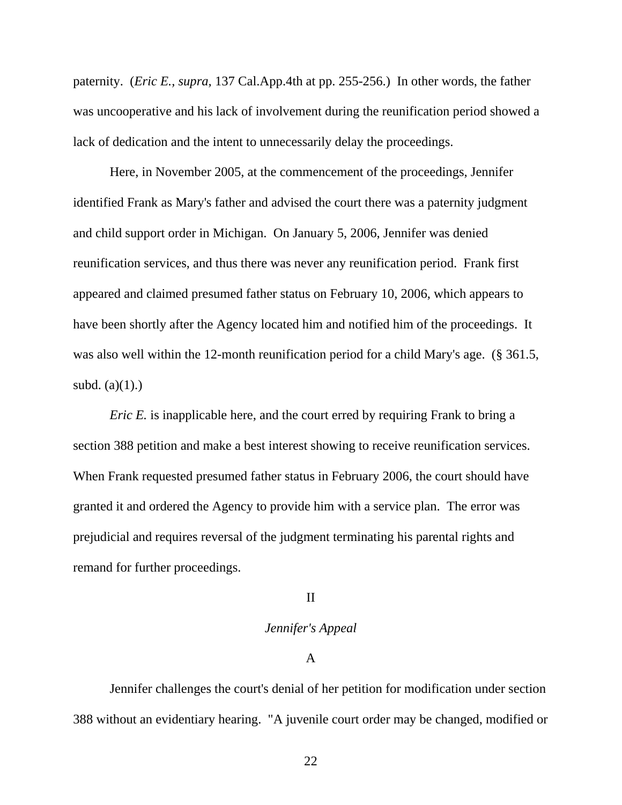paternity. (*Eric E., supra,* 137 Cal.App.4th at pp. 255-256.) In other words, the father was uncooperative and his lack of involvement during the reunification period showed a lack of dedication and the intent to unnecessarily delay the proceedings.

 Here, in November 2005, at the commencement of the proceedings, Jennifer identified Frank as Mary's father and advised the court there was a paternity judgment and child support order in Michigan. On January 5, 2006, Jennifer was denied reunification services, and thus there was never any reunification period. Frank first appeared and claimed presumed father status on February 10, 2006, which appears to have been shortly after the Agency located him and notified him of the proceedings. It was also well within the 12-month reunification period for a child Mary's age. (§ 361.5, subd.  $(a)(1)$ .)

*Eric E.* is inapplicable here, and the court erred by requiring Frank to bring a section 388 petition and make a best interest showing to receive reunification services. When Frank requested presumed father status in February 2006, the court should have granted it and ordered the Agency to provide him with a service plan. The error was prejudicial and requires reversal of the judgment terminating his parental rights and remand for further proceedings.

### II

## *Jennifer's Appeal*

### A

 Jennifer challenges the court's denial of her petition for modification under section 388 without an evidentiary hearing. "A juvenile court order may be changed, modified or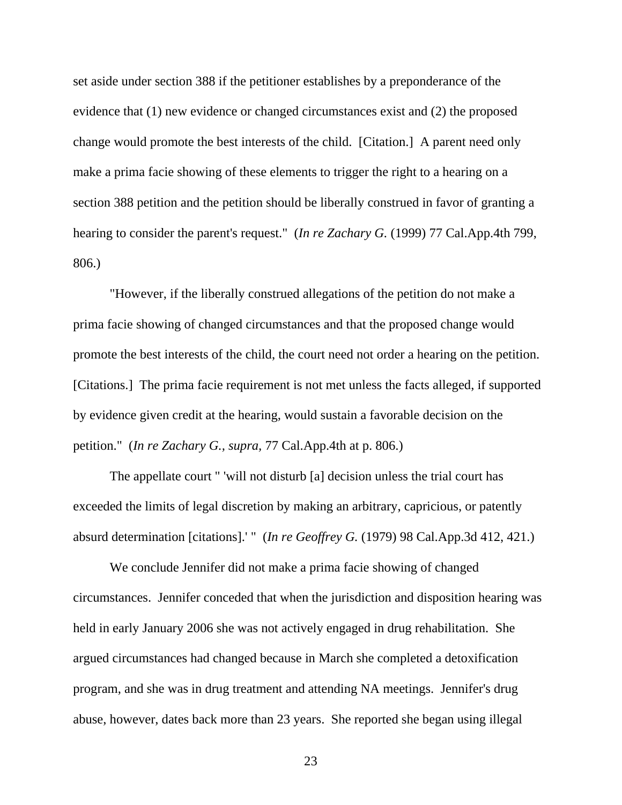set aside under section 388 if the petitioner establishes by a preponderance of the evidence that (1) new evidence or changed circumstances exist and (2) the proposed change would promote the best interests of the child. [Citation.] A parent need only make a prima facie showing of these elements to trigger the right to a hearing on a section 388 petition and the petition should be liberally construed in favor of granting a hearing to consider the parent's request." (*In re Zachary G.* (1999) 77 Cal.App.4th 799, 806.)

 "However, if the liberally construed allegations of the petition do not make a prima facie showing of changed circumstances and that the proposed change would promote the best interests of the child, the court need not order a hearing on the petition. [Citations.] The prima facie requirement is not met unless the facts alleged, if supported by evidence given credit at the hearing, would sustain a favorable decision on the petition." (*In re Zachary G., supra,* 77 Cal.App.4th at p. 806.)

 The appellate court " 'will not disturb [a] decision unless the trial court has exceeded the limits of legal discretion by making an arbitrary, capricious, or patently absurd determination [citations].' " (*In re Geoffrey G.* (1979) 98 Cal.App.3d 412, 421.)

 We conclude Jennifer did not make a prima facie showing of changed circumstances. Jennifer conceded that when the jurisdiction and disposition hearing was held in early January 2006 she was not actively engaged in drug rehabilitation. She argued circumstances had changed because in March she completed a detoxification program, and she was in drug treatment and attending NA meetings. Jennifer's drug abuse, however, dates back more than 23 years. She reported she began using illegal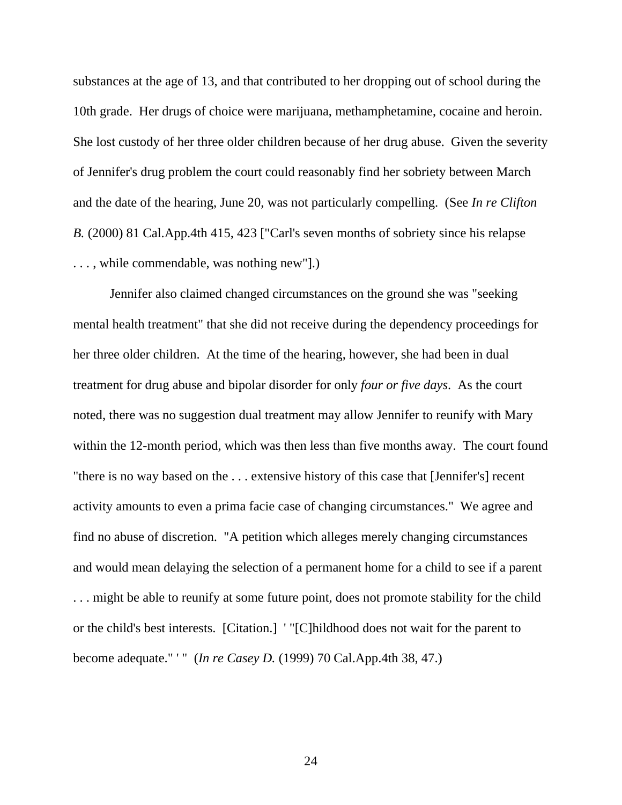substances at the age of 13, and that contributed to her dropping out of school during the 10th grade. Her drugs of choice were marijuana, methamphetamine, cocaine and heroin. She lost custody of her three older children because of her drug abuse. Given the severity of Jennifer's drug problem the court could reasonably find her sobriety between March and the date of the hearing, June 20, was not particularly compelling. (See *In re Clifton B.* (2000) 81 Cal.App.4th 415, 423 ["Carl's seven months of sobriety since his relapse . . . , while commendable, was nothing new"].)

 Jennifer also claimed changed circumstances on the ground she was "seeking mental health treatment" that she did not receive during the dependency proceedings for her three older children. At the time of the hearing, however, she had been in dual treatment for drug abuse and bipolar disorder for only *four or five days*. As the court noted, there was no suggestion dual treatment may allow Jennifer to reunify with Mary within the 12-month period, which was then less than five months away. The court found "there is no way based on the . . . extensive history of this case that [Jennifer's] recent activity amounts to even a prima facie case of changing circumstances." We agree and find no abuse of discretion. "A petition which alleges merely changing circumstances and would mean delaying the selection of a permanent home for a child to see if a parent . . . might be able to reunify at some future point, does not promote stability for the child or the child's best interests. [Citation.] ' "[C]hildhood does not wait for the parent to become adequate." ' " (*In re Casey D.* (1999) 70 Cal.App.4th 38, 47.)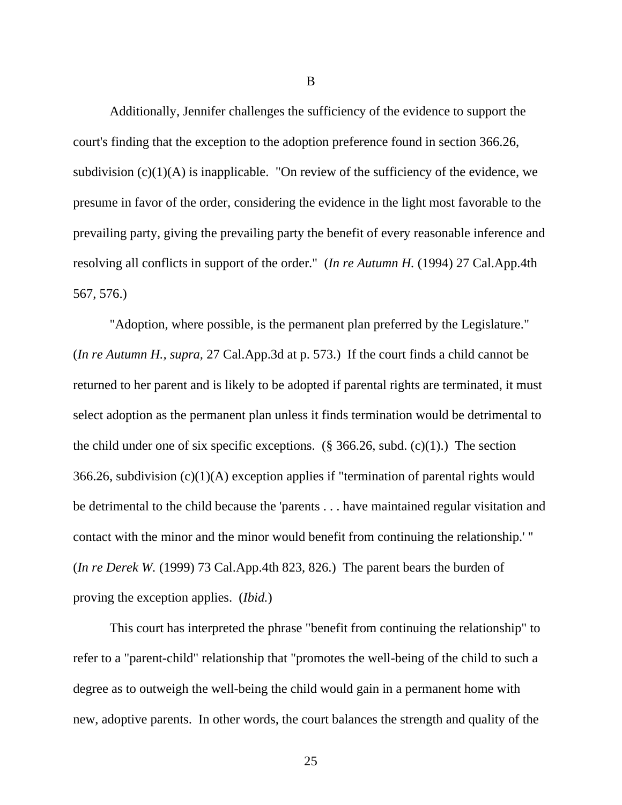Additionally, Jennifer challenges the sufficiency of the evidence to support the court's finding that the exception to the adoption preference found in section 366.26, subdivision  $(c)(1)(A)$  is inapplicable. "On review of the sufficiency of the evidence, we presume in favor of the order, considering the evidence in the light most favorable to the prevailing party, giving the prevailing party the benefit of every reasonable inference and resolving all conflicts in support of the order." (*In re Autumn H.* (1994) 27 Cal.App.4th 567, 576.)

 "Adoption, where possible, is the permanent plan preferred by the Legislature." (*In re Autumn H., supra,* 27 Cal.App.3d at p. 573.) If the court finds a child cannot be returned to her parent and is likely to be adopted if parental rights are terminated, it must select adoption as the permanent plan unless it finds termination would be detrimental to the child under one of six specific exceptions.  $(\S$  366.26, subd. (c)(1).) The section 366.26, subdivision (c)(1)(A) exception applies if "termination of parental rights would be detrimental to the child because the 'parents . . . have maintained regular visitation and contact with the minor and the minor would benefit from continuing the relationship.' " (*In re Derek W.* (1999) 73 Cal.App.4th 823, 826.) The parent bears the burden of proving the exception applies. (*Ibid.*)

 This court has interpreted the phrase "benefit from continuing the relationship" to refer to a "parent-child" relationship that "promotes the well-being of the child to such a degree as to outweigh the well-being the child would gain in a permanent home with new, adoptive parents. In other words, the court balances the strength and quality of the

B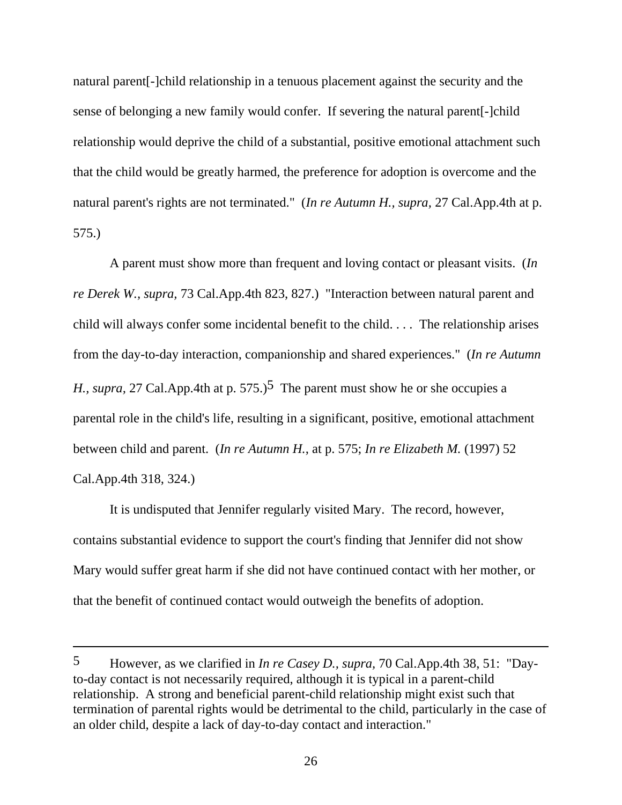natural parent[-]child relationship in a tenuous placement against the security and the sense of belonging a new family would confer. If severing the natural parent[-]child relationship would deprive the child of a substantial, positive emotional attachment such that the child would be greatly harmed, the preference for adoption is overcome and the natural parent's rights are not terminated." (*In re Autumn H., supra,* 27 Cal.App.4th at p. 575.)

 A parent must show more than frequent and loving contact or pleasant visits. (*In re Derek W., supra,* 73 Cal.App.4th 823, 827.) "Interaction between natural parent and child will always confer some incidental benefit to the child. . . . The relationship arises from the day-to-day interaction, companionship and shared experiences." (*In re Autumn H., supra, 27 Cal.App.4th at p.* 575.)<sup>5</sup> The parent must show he or she occupies a parental role in the child's life, resulting in a significant, positive, emotional attachment between child and parent. (*In re Autumn H.*, at p. 575; *In re Elizabeth M.* (1997) 52 Cal.App.4th 318, 324.)

 It is undisputed that Jennifer regularly visited Mary. The record, however, contains substantial evidence to support the court's finding that Jennifer did not show Mary would suffer great harm if she did not have continued contact with her mother, or that the benefit of continued contact would outweigh the benefits of adoption.

 $\overline{a}$ 

<sup>5</sup> However, as we clarified in *In re Casey D., supra,* 70 Cal.App.4th 38, 51: "Dayto-day contact is not necessarily required, although it is typical in a parent-child relationship. A strong and beneficial parent-child relationship might exist such that termination of parental rights would be detrimental to the child, particularly in the case of an older child, despite a lack of day-to-day contact and interaction."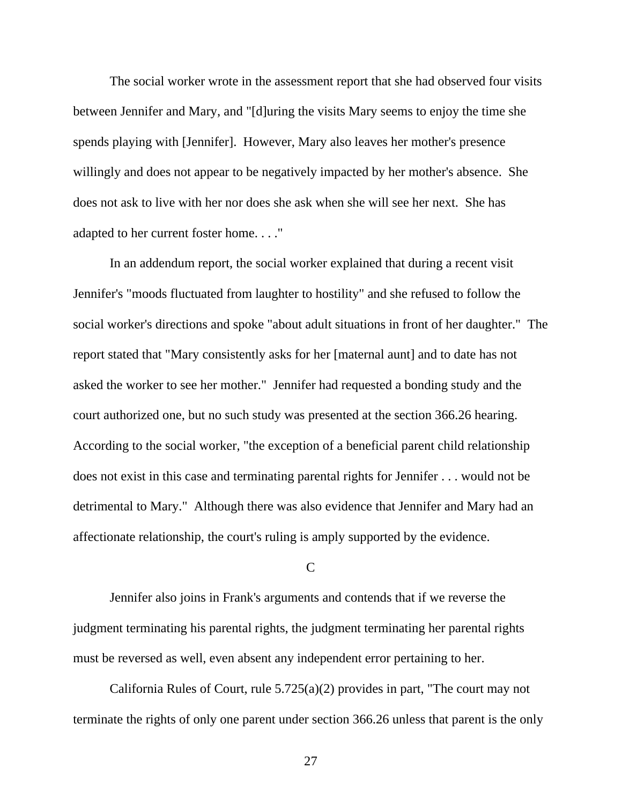The social worker wrote in the assessment report that she had observed four visits between Jennifer and Mary, and "[d]uring the visits Mary seems to enjoy the time she spends playing with [Jennifer]. However, Mary also leaves her mother's presence willingly and does not appear to be negatively impacted by her mother's absence. She does not ask to live with her nor does she ask when she will see her next. She has adapted to her current foster home. . . ."

 In an addendum report, the social worker explained that during a recent visit Jennifer's "moods fluctuated from laughter to hostility" and she refused to follow the social worker's directions and spoke "about adult situations in front of her daughter." The report stated that "Mary consistently asks for her [maternal aunt] and to date has not asked the worker to see her mother." Jennifer had requested a bonding study and the court authorized one, but no such study was presented at the section 366.26 hearing. According to the social worker, "the exception of a beneficial parent child relationship does not exist in this case and terminating parental rights for Jennifer . . . would not be detrimental to Mary." Although there was also evidence that Jennifer and Mary had an affectionate relationship, the court's ruling is amply supported by the evidence.

### $\mathcal{C}$

 Jennifer also joins in Frank's arguments and contends that if we reverse the judgment terminating his parental rights, the judgment terminating her parental rights must be reversed as well, even absent any independent error pertaining to her.

 California Rules of Court, rule 5.725(a)(2) provides in part, "The court may not terminate the rights of only one parent under section 366.26 unless that parent is the only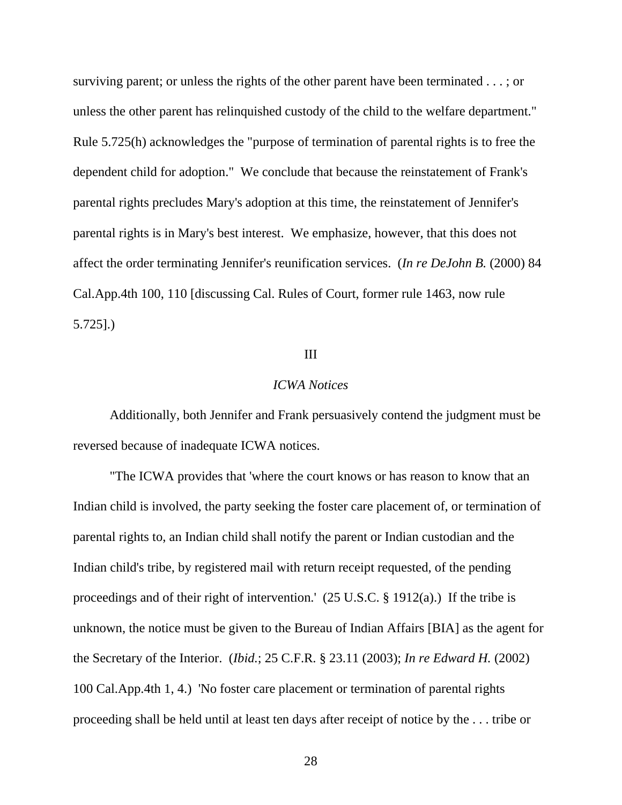surviving parent; or unless the rights of the other parent have been terminated . . . ; or unless the other parent has relinquished custody of the child to the welfare department." Rule 5.725(h) acknowledges the "purpose of termination of parental rights is to free the dependent child for adoption." We conclude that because the reinstatement of Frank's parental rights precludes Mary's adoption at this time, the reinstatement of Jennifer's parental rights is in Mary's best interest. We emphasize, however, that this does not affect the order terminating Jennifer's reunification services. (*In re DeJohn B.* (2000) 84 Cal.App.4th 100, 110 [discussing Cal. Rules of Court, former rule 1463, now rule 5.725].)

## III

## *ICWA Notices*

 Additionally, both Jennifer and Frank persuasively contend the judgment must be reversed because of inadequate ICWA notices.

 "The ICWA provides that 'where the court knows or has reason to know that an Indian child is involved, the party seeking the foster care placement of, or termination of parental rights to, an Indian child shall notify the parent or Indian custodian and the Indian child's tribe, by registered mail with return receipt requested, of the pending proceedings and of their right of intervention.' (25 U.S.C. § 1912(a).) If the tribe is unknown, the notice must be given to the Bureau of Indian Affairs [BIA] as the agent for the Secretary of the Interior. (*Ibid.*; 25 C.F.R. § 23.11 (2003); *In re Edward H.* (2002) 100 Cal.App.4th 1, 4.) 'No foster care placement or termination of parental rights proceeding shall be held until at least ten days after receipt of notice by the . . . tribe or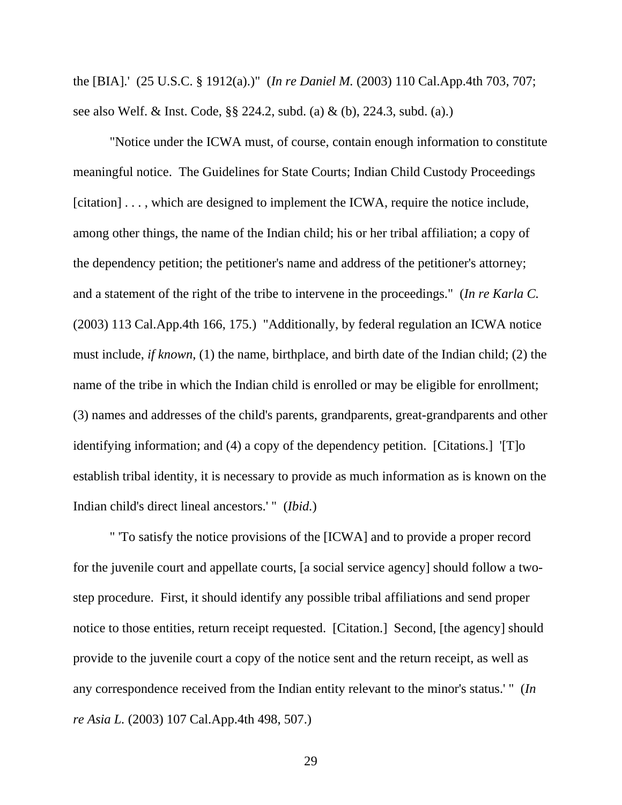the [BIA].' (25 U.S.C. § 1912(a).)" (*In re Daniel M.* (2003) 110 Cal.App.4th 703, 707; see also Welf. & Inst. Code, §§ 224.2, subd. (a) & (b), 224.3, subd. (a).)

 "Notice under the ICWA must, of course, contain enough information to constitute meaningful notice. The Guidelines for State Courts; Indian Child Custody Proceedings [citation] . . . , which are designed to implement the ICWA, require the notice include, among other things, the name of the Indian child; his or her tribal affiliation; a copy of the dependency petition; the petitioner's name and address of the petitioner's attorney; and a statement of the right of the tribe to intervene in the proceedings." (*In re Karla C.*  (2003) 113 Cal.App.4th 166, 175.) "Additionally, by federal regulation an ICWA notice must include, *if known,* (1) the name, birthplace, and birth date of the Indian child; (2) the name of the tribe in which the Indian child is enrolled or may be eligible for enrollment; (3) names and addresses of the child's parents, grandparents, great-grandparents and other identifying information; and (4) a copy of the dependency petition. [Citations.] '[T]o establish tribal identity, it is necessary to provide as much information as is known on the Indian child's direct lineal ancestors.' " (*Ibid.*)

 " 'To satisfy the notice provisions of the [ICWA] and to provide a proper record for the juvenile court and appellate courts, [a social service agency] should follow a twostep procedure. First, it should identify any possible tribal affiliations and send proper notice to those entities, return receipt requested. [Citation.] Second, [the agency] should provide to the juvenile court a copy of the notice sent and the return receipt, as well as any correspondence received from the Indian entity relevant to the minor's status.' " (*In re Asia L.* (2003) 107 Cal.App.4th 498, 507.)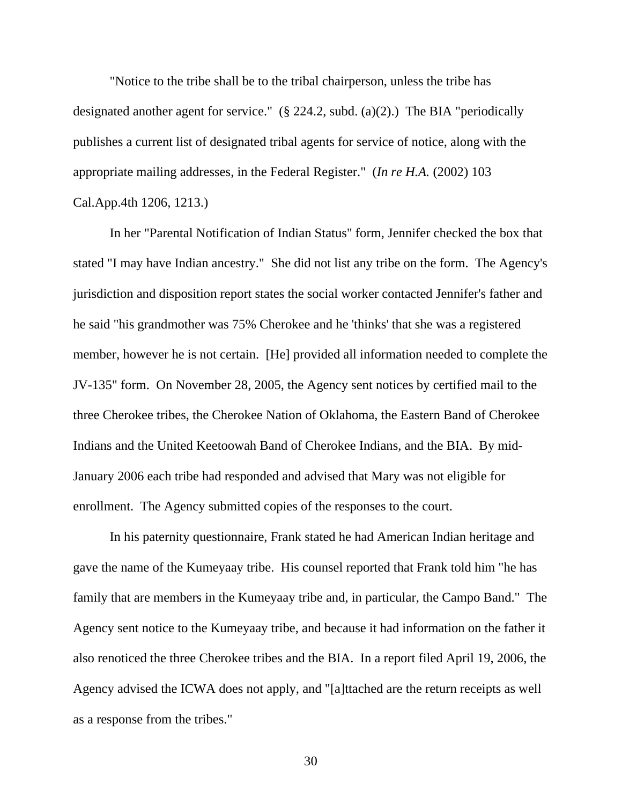"Notice to the tribe shall be to the tribal chairperson, unless the tribe has designated another agent for service." (§ 224.2, subd. (a)(2).) The BIA "periodically publishes a current list of designated tribal agents for service of notice, along with the appropriate mailing addresses, in the Federal Register." (*In re H.A.* (2002) 103 Cal.App.4th 1206, 1213.)

 In her "Parental Notification of Indian Status" form, Jennifer checked the box that stated "I may have Indian ancestry." She did not list any tribe on the form. The Agency's jurisdiction and disposition report states the social worker contacted Jennifer's father and he said "his grandmother was 75% Cherokee and he 'thinks' that she was a registered member, however he is not certain. [He] provided all information needed to complete the JV-135" form. On November 28, 2005, the Agency sent notices by certified mail to the three Cherokee tribes, the Cherokee Nation of Oklahoma, the Eastern Band of Cherokee Indians and the United Keetoowah Band of Cherokee Indians, and the BIA. By mid-January 2006 each tribe had responded and advised that Mary was not eligible for enrollment. The Agency submitted copies of the responses to the court.

 In his paternity questionnaire, Frank stated he had American Indian heritage and gave the name of the Kumeyaay tribe. His counsel reported that Frank told him "he has family that are members in the Kumeyaay tribe and, in particular, the Campo Band." The Agency sent notice to the Kumeyaay tribe, and because it had information on the father it also renoticed the three Cherokee tribes and the BIA. In a report filed April 19, 2006, the Agency advised the ICWA does not apply, and "[a]ttached are the return receipts as well as a response from the tribes."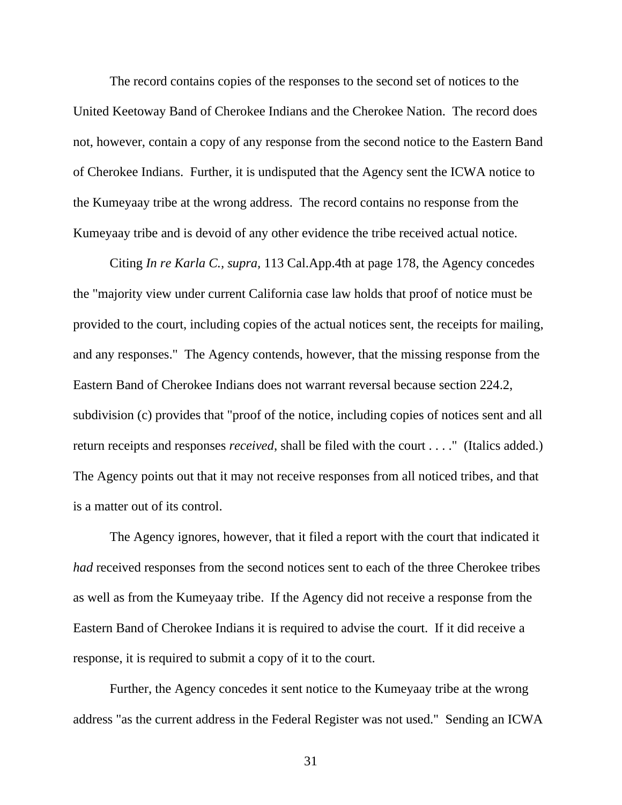The record contains copies of the responses to the second set of notices to the United Keetoway Band of Cherokee Indians and the Cherokee Nation. The record does not, however, contain a copy of any response from the second notice to the Eastern Band of Cherokee Indians. Further, it is undisputed that the Agency sent the ICWA notice to the Kumeyaay tribe at the wrong address. The record contains no response from the Kumeyaay tribe and is devoid of any other evidence the tribe received actual notice.

 Citing *In re Karla C., supra,* 113 Cal.App.4th at page 178, the Agency concedes the "majority view under current California case law holds that proof of notice must be provided to the court, including copies of the actual notices sent, the receipts for mailing, and any responses." The Agency contends, however, that the missing response from the Eastern Band of Cherokee Indians does not warrant reversal because section 224.2, subdivision (c) provides that "proof of the notice, including copies of notices sent and all return receipts and responses *received*, shall be filed with the court . . . ." (Italics added.) The Agency points out that it may not receive responses from all noticed tribes, and that is a matter out of its control.

 The Agency ignores, however, that it filed a report with the court that indicated it *had* received responses from the second notices sent to each of the three Cherokee tribes as well as from the Kumeyaay tribe. If the Agency did not receive a response from the Eastern Band of Cherokee Indians it is required to advise the court. If it did receive a response, it is required to submit a copy of it to the court.

 Further, the Agency concedes it sent notice to the Kumeyaay tribe at the wrong address "as the current address in the Federal Register was not used." Sending an ICWA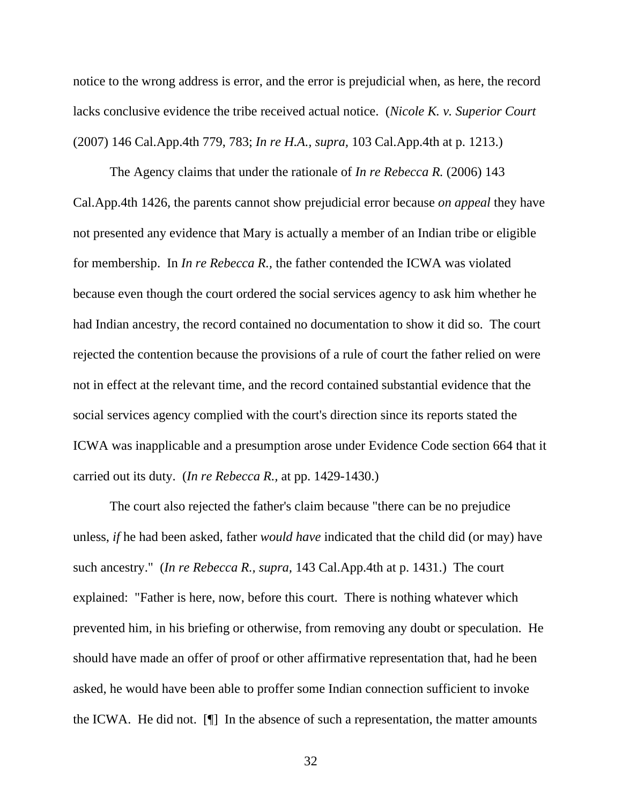notice to the wrong address is error, and the error is prejudicial when, as here, the record lacks conclusive evidence the tribe received actual notice. (*Nicole K. v. Superior Court*  (2007) 146 Cal.App.4th 779, 783; *In re H.A., supra,* 103 Cal.App.4th at p. 1213.)

 The Agency claims that under the rationale of *In re Rebecca R.* (2006) 143 Cal.App.4th 1426, the parents cannot show prejudicial error because *on appeal* they have not presented any evidence that Mary is actually a member of an Indian tribe or eligible for membership. In *In re Rebecca R.,* the father contended the ICWA was violated because even though the court ordered the social services agency to ask him whether he had Indian ancestry, the record contained no documentation to show it did so. The court rejected the contention because the provisions of a rule of court the father relied on were not in effect at the relevant time, and the record contained substantial evidence that the social services agency complied with the court's direction since its reports stated the ICWA was inapplicable and a presumption arose under Evidence Code section 664 that it carried out its duty. (*In re Rebecca R.,* at pp. 1429-1430.)

 The court also rejected the father's claim because "there can be no prejudice unless, *if* he had been asked, father *would have* indicated that the child did (or may) have such ancestry." (*In re Rebecca R., supra,* 143 Cal.App.4th at p. 1431.) The court explained: "Father is here, now, before this court. There is nothing whatever which prevented him, in his briefing or otherwise, from removing any doubt or speculation. He should have made an offer of proof or other affirmative representation that, had he been asked, he would have been able to proffer some Indian connection sufficient to invoke the ICWA. He did not. [¶] In the absence of such a representation, the matter amounts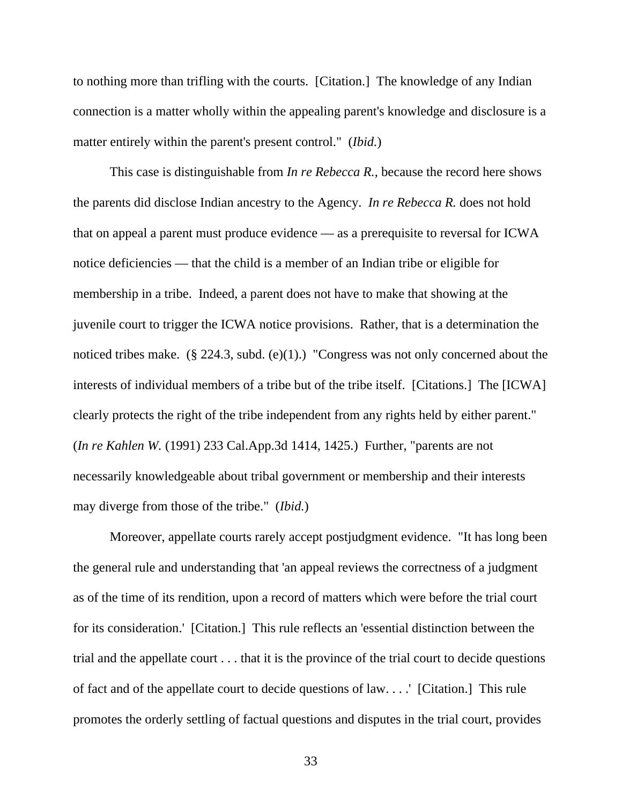to nothing more than trifling with the courts. [Citation.] The knowledge of any Indian connection is a matter wholly within the appealing parent's knowledge and disclosure is a matter entirely within the parent's present control." (*Ibid.*)

 This case is distinguishable from *In re Rebecca R.,* because the record here shows the parents did disclose Indian ancestry to the Agency. *In re Rebecca R.* does not hold that on appeal a parent must produce evidence — as a prerequisite to reversal for ICWA notice deficiencies — that the child is a member of an Indian tribe or eligible for membership in a tribe. Indeed, a parent does not have to make that showing at the juvenile court to trigger the ICWA notice provisions. Rather, that is a determination the noticed tribes make. (§ 224.3, subd. (e)(1).) "Congress was not only concerned about the interests of individual members of a tribe but of the tribe itself. [Citations.] The [ICWA] clearly protects the right of the tribe independent from any rights held by either parent." (*In re Kahlen W.* (1991) 233 Cal.App.3d 1414, 1425.) Further, "parents are not necessarily knowledgeable about tribal government or membership and their interests may diverge from those of the tribe." (*Ibid.*)

 Moreover, appellate courts rarely accept postjudgment evidence. "It has long been the general rule and understanding that 'an appeal reviews the correctness of a judgment as of the time of its rendition, upon a record of matters which were before the trial court for its consideration.' [Citation.] This rule reflects an 'essential distinction between the trial and the appellate court . . . that it is the province of the trial court to decide questions of fact and of the appellate court to decide questions of law. . . .' [Citation.] This rule promotes the orderly settling of factual questions and disputes in the trial court, provides